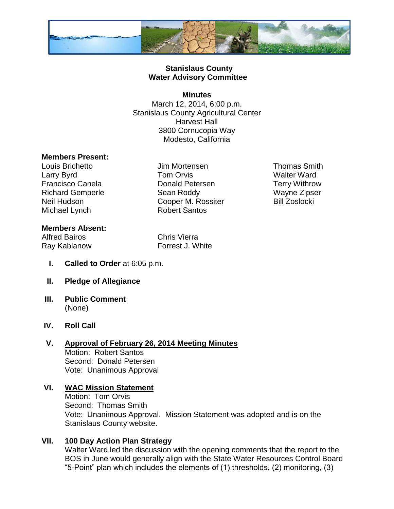

### **Stanislaus County Water Advisory Committee**

### **Minutes**

March 12, 2014, 6:00 p.m. Stanislaus County Agricultural Center Harvest Hall 3800 Cornucopia Way Modesto, California

### **Members Present:**

Michael Lynch Robert Santos

Louis Brichetto Jim Mortensen Thomas Smith Larry Byrd **Carry Byrd Carry Byrd Carry Byrd Carry Byrd Carry Byrd Carry Byrd Carry Byrd Carry Byrd Carry Byrd Carry Byrd Carry Byrd Carry Byrd Carry Byrd Carry Byrd Carry Byrd Carry Byrd Ca** Francisco Canela **Donald Petersen** Terry Withrow Richard Gemperle **Sean Roddy** Wayne Zipser Neil Hudson **Cooper M. Rossiter** Bill Zoslocki

### **Members Absent:**

Alfred Bairos Chris Vierra

Ray Kablanow Forrest J. White

- **I. Called to Order** at 6:05 p.m.
- **II. Pledge of Allegiance**
- **III. Public Comment** (None)

### **IV. Roll Call**

# **V. Approval of February 26, 2014 Meeting Minutes** Motion: Robert Santos

Second: Donald Petersen Vote: Unanimous Approval

### **VI. WAC Mission Statement** Motion: Tom Orvis Second: Thomas Smith Vote: Unanimous Approval. Mission Statement was adopted and is on the Stanislaus County website.

### **VII. 100 Day Action Plan Strategy**

Walter Ward led the discussion with the opening comments that the report to the BOS in June would generally align with the State Water Resources Control Board "5-Point" plan which includes the elements of (1) thresholds, (2) monitoring, (3)